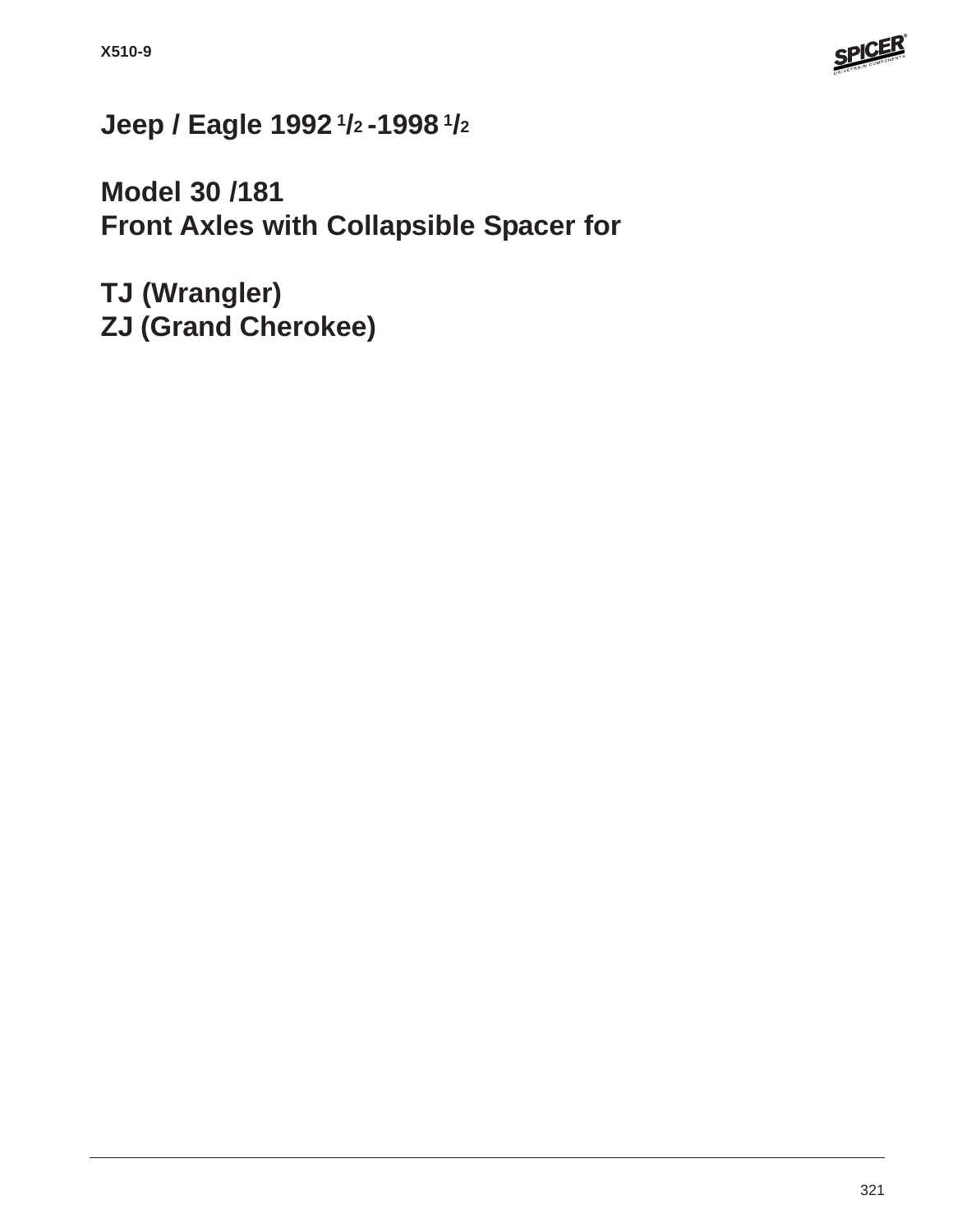

# **Jeep / Eagle 1992 1/2 -1998 1/2**

**Model 30 /181 Front Axles with Collapsible Spacer for**

**TJ (Wrangler) ZJ (Grand Cherokee)**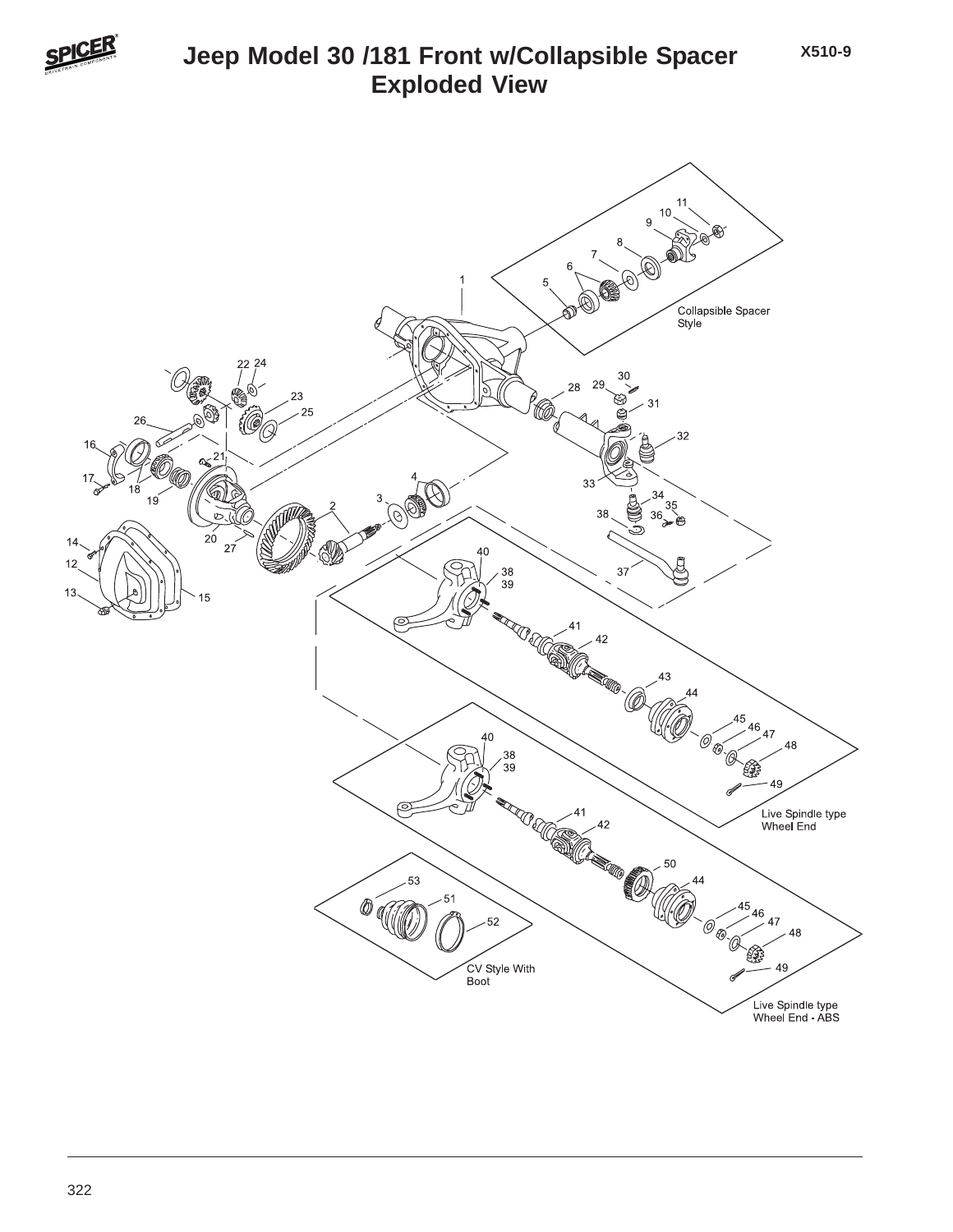

# **Jeep Model 30 /181 Front w/Collapsible Spacer Exploded View**

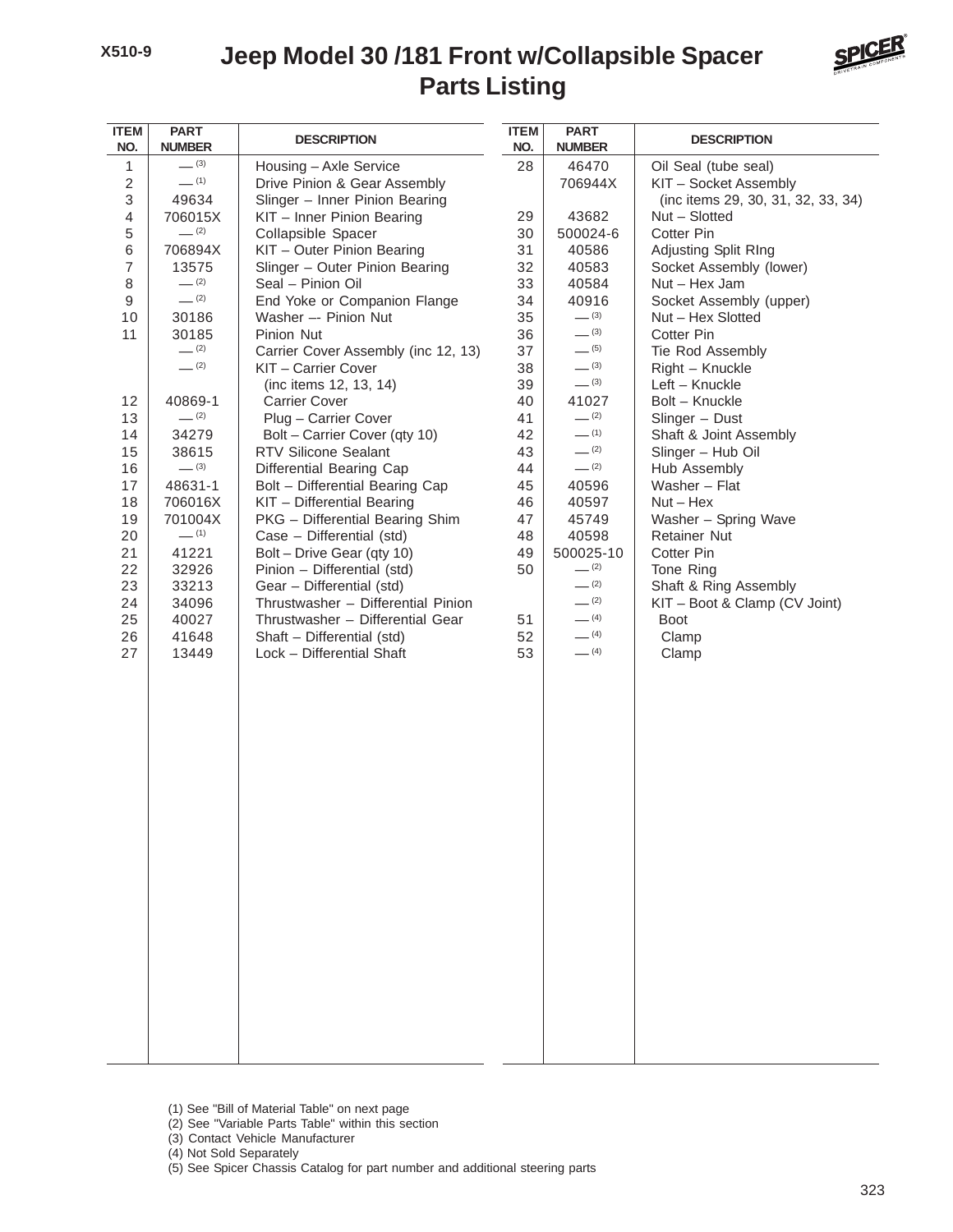## **Parts Listing Jeep Model 30 /181 Front w/Collapsible Spacer**



| <b>ITEM</b><br>NO. | <b>PART</b><br><b>NUMBER</b> | <b>DESCRIPTION</b>                                      | <b>ITEM</b><br>NO. | <b>PART</b><br><b>NUMBER</b> | <b>DESCRIPTION</b>                 |
|--------------------|------------------------------|---------------------------------------------------------|--------------------|------------------------------|------------------------------------|
| 1                  | $- (3)$                      | Housing - Axle Service                                  | 28                 | 46470                        | Oil Seal (tube seal)               |
| $\sqrt{2}$         | $-$ (1)                      | Drive Pinion & Gear Assembly                            |                    | 706944X                      | KIT - Socket Assembly              |
| 3                  | 49634                        | Slinger - Inner Pinion Bearing                          |                    |                              | (inc items 29, 30, 31, 32, 33, 34) |
| 4                  | 706015X                      | KIT - Inner Pinion Bearing                              | 29                 | 43682                        | Nut - Slotted                      |
| 5                  | $-$ (2)                      | Collapsible Spacer                                      | 30                 | 500024-6                     | Cotter Pin                         |
| 6                  | 706894X                      | KIT - Outer Pinion Bearing                              | 31                 | 40586                        | Adjusting Split RIng               |
| $\overline{7}$     | 13575                        | Slinger - Outer Pinion Bearing                          | 32                 | 40583                        | Socket Assembly (lower)            |
| 8                  | $-$ (2)                      | Seal - Pinion Oil                                       | 33                 | 40584                        | Nut - Hex Jam                      |
| 9                  | $- (2)$                      | End Yoke or Companion Flange                            | 34                 | 40916                        | Socket Assembly (upper)            |
| 10                 | 30186                        | Washer -- Pinion Nut                                    | 35                 | $- (3)$                      | Nut - Hex Slotted                  |
| 11                 | 30185                        | Pinion Nut                                              | 36                 | $- (3)$                      | Cotter Pin                         |
|                    | $-$ (2)                      | Carrier Cover Assembly (inc 12, 13)                     | 37                 | $- (5)$                      | Tie Rod Assembly                   |
|                    | $-$ (2)                      | KIT - Carrier Cover                                     | 38                 | $- (3)$                      | Right - Knuckle                    |
|                    |                              | (inc items 12, 13, 14)                                  | 39                 | $- (3)$                      | Left - Knuckle                     |
| 12                 | 40869-1                      | <b>Carrier Cover</b>                                    | 40                 | 41027                        | Bolt - Knuckle                     |
| 13                 | $- (2)$                      | Plug - Carrier Cover                                    | 41                 | $- (2)$                      | Slinger - Dust                     |
| 14                 | 34279                        | Bolt - Carrier Cover (qty 10)                           | 42                 | $-$ (1)                      | Shaft & Joint Assembly             |
| 15                 | 38615                        | <b>RTV Silicone Sealant</b>                             | 43                 | $- (2)$                      | Slinger - Hub Oil                  |
| 16                 | $- (3)$                      | Differential Bearing Cap                                | 44                 | $- (2)$                      | Hub Assembly                       |
| 17                 | 48631-1                      | Bolt - Differential Bearing Cap                         | 45                 | 40596                        | Washer - Flat                      |
| 18                 | 706016X                      | KIT - Differential Bearing                              | 46                 | 40597                        | $Nut - Hex$                        |
| 19                 | 701004X<br>$-$ (1)           | PKG - Differential Bearing Shim                         | 47                 | 45749                        | Washer - Spring Wave               |
| 20<br>21           | 41221                        | Case - Differential (std)<br>Bolt - Drive Gear (qty 10) | 48<br>49           | 40598<br>500025-10           | <b>Retainer Nut</b><br>Cotter Pin  |
| 22                 | 32926                        | Pinion - Differential (std)                             | 50                 | $-$ (2)                      | Tone Ring                          |
| 23                 | 33213                        | Gear - Differential (std)                               |                    | $- (2)$                      | Shaft & Ring Assembly              |
| 24                 | 34096                        | Thrustwasher - Differential Pinion                      |                    | $- (2)$                      | KIT - Boot & Clamp (CV Joint)      |
| 25                 | 40027                        | Thrustwasher - Differential Gear                        | 51                 | $-$ (4)                      | <b>Boot</b>                        |
| 26                 | 41648                        | Shaft - Differential (std)                              | 52                 | $- (4)$                      | Clamp                              |
| 27                 | 13449                        | Lock - Differential Shaft                               | 53                 | $- (4)$                      | Clamp                              |
|                    |                              |                                                         |                    |                              |                                    |
|                    |                              |                                                         |                    |                              |                                    |
|                    |                              |                                                         |                    |                              |                                    |
|                    |                              |                                                         |                    |                              |                                    |
|                    |                              |                                                         |                    |                              |                                    |
|                    |                              |                                                         |                    |                              |                                    |
|                    |                              |                                                         |                    |                              |                                    |
|                    |                              |                                                         |                    |                              |                                    |
|                    |                              |                                                         |                    |                              |                                    |
|                    |                              |                                                         |                    |                              |                                    |
|                    |                              |                                                         |                    |                              |                                    |
|                    |                              |                                                         |                    |                              |                                    |
|                    |                              |                                                         |                    |                              |                                    |
|                    |                              |                                                         |                    |                              |                                    |
|                    |                              |                                                         |                    |                              |                                    |
|                    |                              |                                                         |                    |                              |                                    |
|                    |                              |                                                         |                    |                              |                                    |
|                    |                              |                                                         |                    |                              |                                    |
|                    |                              |                                                         |                    |                              |                                    |
|                    |                              |                                                         |                    |                              |                                    |
|                    |                              |                                                         |                    |                              |                                    |
|                    |                              |                                                         |                    |                              |                                    |
|                    |                              |                                                         |                    |                              |                                    |
|                    |                              |                                                         |                    |                              |                                    |

- (1) See "Bill of Material Table" on next page
- (2) See "Variable Parts Table" within this section
- (3) Contact Vehicle Manufacturer
- (4) Not Sold Separately
- (5) See Spicer Chassis Catalog for part number and additional steering parts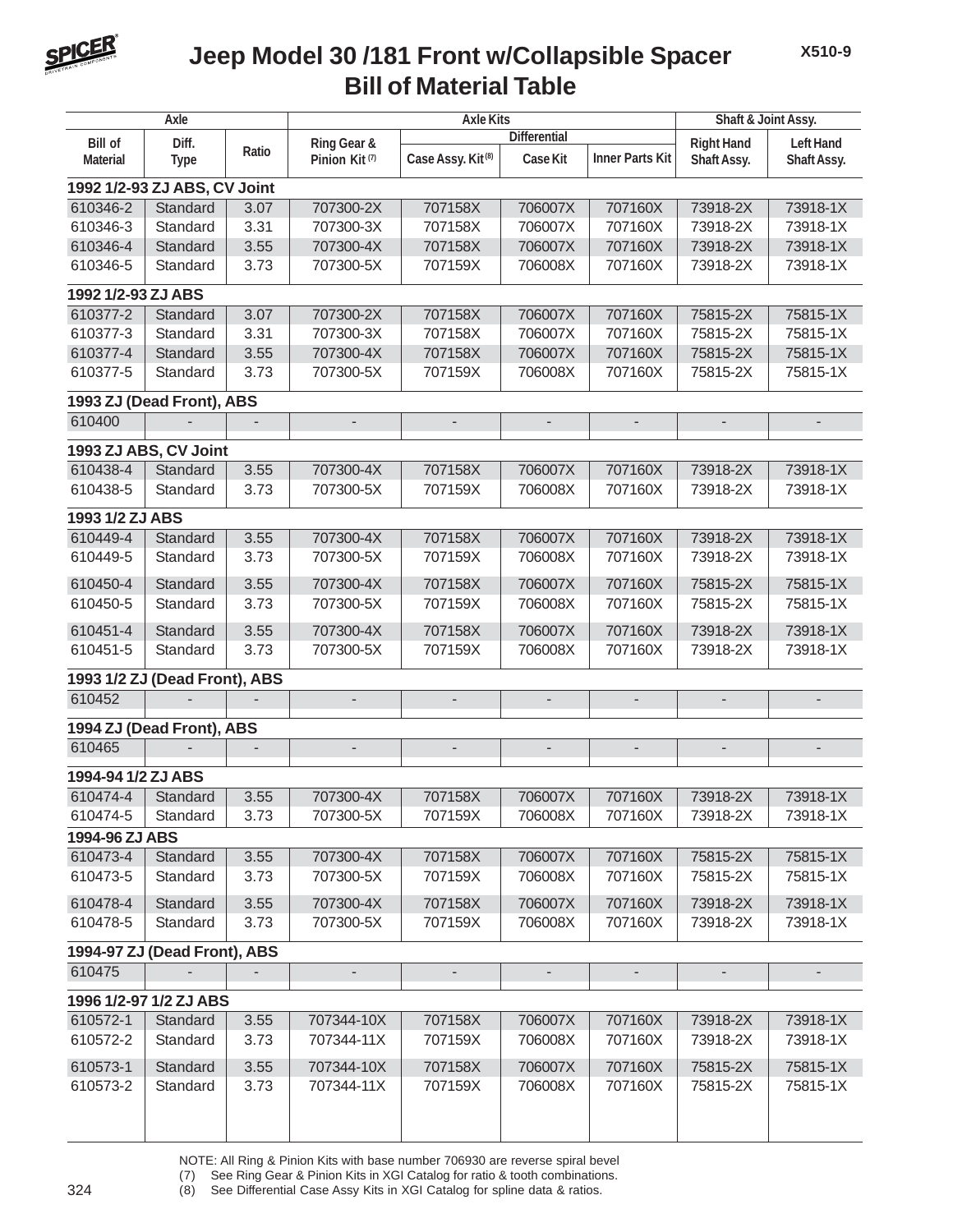

## **Bill of Material Table Jeep Model 30 /181 Front w/Collapsible Spacer**

| Axle                         |                               |       |                           | <b>Axle Kits</b>              | Shaft & Joint Assy.      |                          |                          |                          |  |
|------------------------------|-------------------------------|-------|---------------------------|-------------------------------|--------------------------|--------------------------|--------------------------|--------------------------|--|
| <b>Bill of</b>               | Diff.                         |       | Ring Gear &               |                               | <b>Differential</b>      |                          | <b>Right Hand</b>        | <b>Left Hand</b>         |  |
| <b>Material</b>              | <b>Type</b>                   | Ratio | Pinion Kit <sup>(7)</sup> | Case Assy. Kit <sup>(8)</sup> | Case Kit                 | <b>Inner Parts Kit</b>   | Shaft Assy.              | Shaft Assy.              |  |
| 1992 1/2-93 ZJ ABS, CV Joint |                               |       |                           |                               |                          |                          |                          |                          |  |
| 610346-2                     | Standard                      | 3.07  | 707300-2X                 | 707158X                       | 706007X                  | 707160X                  | 73918-2X                 | 73918-1X                 |  |
| 610346-3                     | Standard                      | 3.31  | 707300-3X                 | 707158X                       | 706007X                  | 707160X                  | 73918-2X                 | 73918-1X                 |  |
| 610346-4                     | Standard                      | 3.55  | 707300-4X                 | 707158X                       | 706007X                  | 707160X                  | 73918-2X                 | 73918-1X                 |  |
| 610346-5                     | Standard                      | 3.73  | 707300-5X                 | 707159X                       | 706008X                  | 707160X                  | 73918-2X                 | 73918-1X                 |  |
| 1992 1/2-93 ZJ ABS           |                               |       |                           |                               |                          |                          |                          |                          |  |
| 610377-2                     | Standard                      | 3.07  | 707300-2X                 | 707158X                       | 706007X                  | 707160X                  | 75815-2X                 | 75815-1X                 |  |
| 610377-3                     | Standard                      | 3.31  | 707300-3X                 | 707158X                       | 706007X                  | 707160X                  | 75815-2X                 | 75815-1X                 |  |
| 610377-4                     | Standard                      | 3.55  | 707300-4X                 | 707158X                       | 706007X                  | 707160X                  | 75815-2X                 | 75815-1X                 |  |
| 610377-5                     | Standard                      | 3.73  | 707300-5X                 | 707159X                       | 706008X                  | 707160X                  | 75815-2X                 | 75815-1X                 |  |
|                              |                               |       |                           |                               |                          |                          |                          |                          |  |
|                              | 1993 ZJ (Dead Front), ABS     |       |                           |                               |                          |                          |                          |                          |  |
| 610400                       |                               |       | $\overline{\phantom{a}}$  | $\overline{\phantom{a}}$      | $\overline{\phantom{a}}$ | $\blacksquare$           | $\blacksquare$           | $\overline{\phantom{a}}$ |  |
|                              | 1993 ZJ ABS, CV Joint         |       |                           |                               |                          |                          |                          |                          |  |
| 610438-4                     | Standard                      | 3.55  | 707300-4X                 | 707158X                       | 706007X                  | 707160X                  | 73918-2X                 | 73918-1X                 |  |
| 610438-5                     | Standard                      | 3.73  | 707300-5X                 | 707159X                       | 706008X                  | 707160X                  | 73918-2X                 | 73918-1X                 |  |
| 1993 1/2 ZJ ABS              |                               |       |                           |                               |                          |                          |                          |                          |  |
| 610449-4                     | Standard                      | 3.55  | 707300-4X                 | 707158X                       | 706007X                  | 707160X                  | 73918-2X                 | 73918-1X                 |  |
| 610449-5                     | Standard                      | 3.73  | 707300-5X                 | 707159X                       | 706008X                  | 707160X                  | 73918-2X                 | 73918-1X                 |  |
| 610450-4                     | Standard                      | 3.55  | 707300-4X                 | 707158X                       | 706007X                  | 707160X                  | 75815-2X                 | 75815-1X                 |  |
| 610450-5                     | Standard                      | 3.73  | 707300-5X                 | 707159X                       | 706008X                  | 707160X                  | 75815-2X                 | 75815-1X                 |  |
|                              |                               |       |                           |                               |                          |                          |                          |                          |  |
| 610451-4                     | Standard                      | 3.55  | 707300-4X                 | 707158X                       | 706007X                  | 707160X                  | 73918-2X                 | 73918-1X                 |  |
| 610451-5                     | Standard                      | 3.73  | 707300-5X                 | 707159X                       | 706008X                  | 707160X                  | 73918-2X                 | 73918-1X                 |  |
|                              | 1993 1/2 ZJ (Dead Front), ABS |       |                           |                               |                          |                          |                          |                          |  |
| 610452                       |                               |       | $\overline{\phantom{a}}$  | $\overline{\phantom{a}}$      | $\overline{\phantom{a}}$ | $\overline{\phantom{a}}$ | $\overline{\phantom{a}}$ | $\overline{\phantom{m}}$ |  |
|                              | 1994 ZJ (Dead Front), ABS     |       |                           |                               |                          |                          |                          |                          |  |
| 610465                       |                               |       | $\overline{\phantom{a}}$  | $\overline{\phantom{a}}$      | $\blacksquare$           | $\frac{1}{2}$            | $\overline{\phantom{a}}$ | $\overline{\phantom{0}}$ |  |
|                              |                               |       |                           |                               |                          |                          |                          |                          |  |
| 1994-94 1/2 ZJ ABS           |                               |       |                           |                               | 706007X                  |                          | 73918-2X                 | 73918-1X                 |  |
| 610474-4                     | Standard                      | 3.55  | 707300-4X                 | 707158X                       |                          | 707160X                  |                          |                          |  |
| 610474-5                     | Standard                      | 3.73  | 707300-5X                 | 707159X                       | 706008X                  | 707160X                  | 73918-2X                 | 73918-1X                 |  |
| 1994-96 ZJ ABS               |                               |       |                           |                               |                          |                          |                          |                          |  |
| 610473-4                     | Standard                      | 3.55  | 707300-4X                 | 707158X                       | 706007X                  | 707160X                  | 75815-2X                 | 75815-1X                 |  |
| 610473-5                     | Standard                      | 3.73  | 707300-5X                 | 707159X                       | 706008X                  | 707160X                  | 75815-2X                 | 75815-1X                 |  |
| 610478-4                     | Standard                      | 3.55  | 707300-4X                 | 707158X                       | 706007X                  | 707160X                  | 73918-2X                 | 73918-1X                 |  |
| 610478-5                     | Standard                      | 3.73  | 707300-5X                 | 707159X                       | 706008X                  | 707160X                  | 73918-2X                 | 73918-1X                 |  |
|                              | 1994-97 ZJ (Dead Front), ABS  |       |                           |                               |                          |                          |                          |                          |  |
| 610475                       |                               |       | $\overline{\phantom{a}}$  | $\overline{\phantom{a}}$      | $\overline{\phantom{a}}$ | $\overline{\phantom{a}}$ | $\overline{\phantom{a}}$ | $\overline{\phantom{a}}$ |  |
|                              | 1996 1/2-97 1/2 ZJ ABS        |       |                           |                               |                          |                          |                          |                          |  |
| 610572-1                     | Standard                      | 3.55  | 707344-10X                | 707158X                       | 706007X                  | 707160X                  | 73918-2X                 | 73918-1X                 |  |
| 610572-2                     | Standard                      | 3.73  | 707344-11X                | 707159X                       | 706008X                  | 707160X                  | 73918-2X                 | 73918-1X                 |  |
|                              |                               |       |                           |                               |                          |                          |                          |                          |  |
| 610573-1                     | Standard                      | 3.55  | 707344-10X                | 707158X                       | 706007X                  | 707160X                  | 75815-2X                 | 75815-1X                 |  |
| 610573-2                     | Standard                      | 3.73  | 707344-11X                | 707159X                       | 706008X                  | 707160X                  | 75815-2X                 | 75815-1X                 |  |
|                              |                               |       |                           |                               |                          |                          |                          |                          |  |
|                              |                               |       |                           |                               |                          |                          |                          |                          |  |

NOTE: All Ring & Pinion Kits with base number 706930 are reverse spiral bevel

(7) See Ring Gear & Pinion Kits in XGI Catalog for ratio & tooth combinations.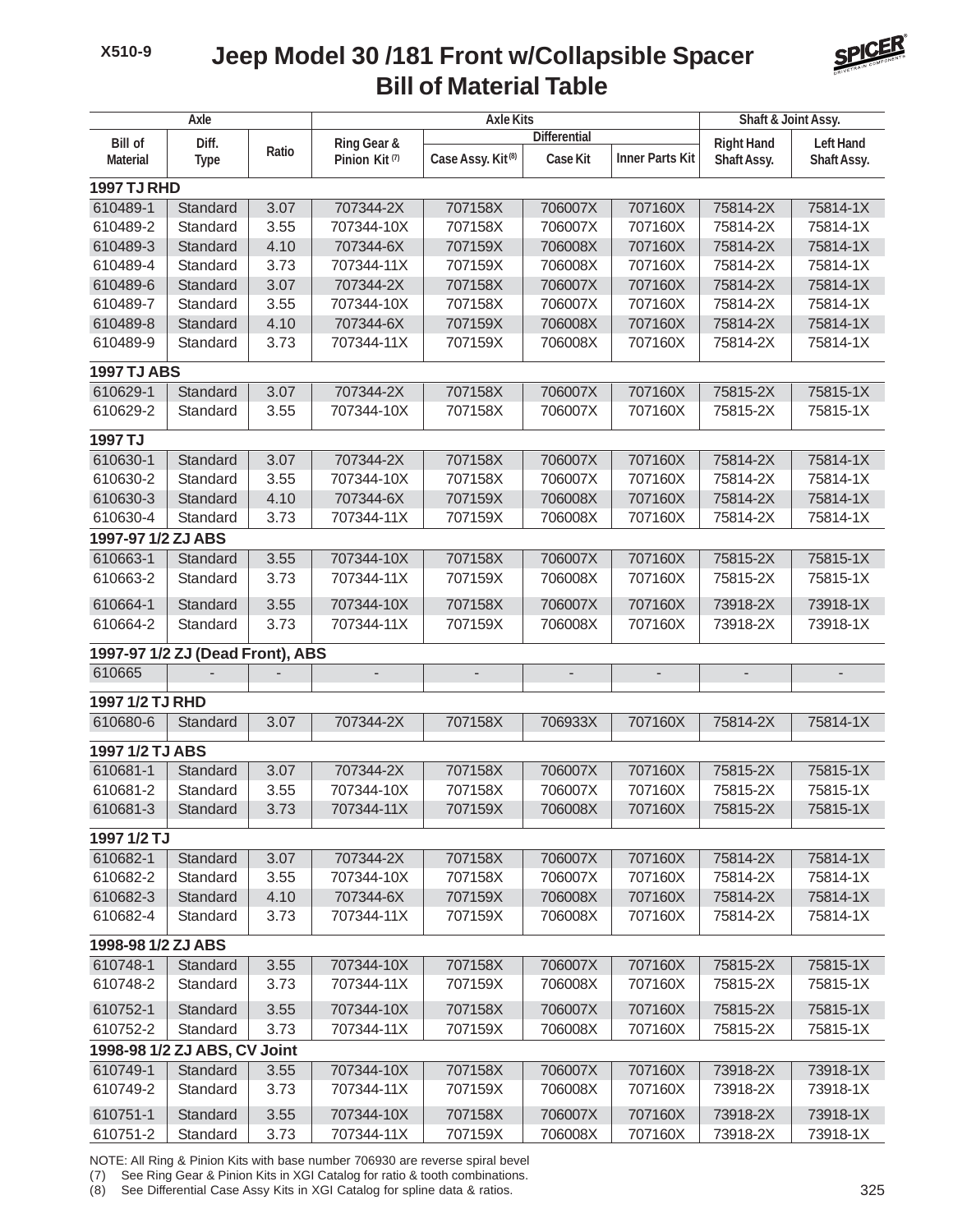## **Bill of Material Table Jeep Model 30 /181 Front w/Collapsible Spacer**



| Axle               |                                  |       |                           | <b>Axle Kits</b>              | Shaft & Joint Assy.      |                        |                          |                          |  |
|--------------------|----------------------------------|-------|---------------------------|-------------------------------|--------------------------|------------------------|--------------------------|--------------------------|--|
| <b>Bill of</b>     | Diff.                            |       | Ring Gear &               |                               | <b>Differential</b>      |                        | <b>Right Hand</b>        | <b>Left Hand</b>         |  |
| <b>Material</b>    | <b>Type</b>                      | Ratio | Pinion Kit <sup>(7)</sup> | Case Assy. Kit <sup>(8)</sup> | <b>Case Kit</b>          | <b>Inner Parts Kit</b> | Shaft Assy.              | Shaft Assy.              |  |
| <b>1997 TJ RHD</b> |                                  |       |                           |                               |                          |                        |                          |                          |  |
| 610489-1           | Standard                         | 3.07  | 707344-2X                 | 707158X                       | 706007X                  | 707160X                | 75814-2X                 | 75814-1X                 |  |
| 610489-2           | Standard                         | 3.55  | 707344-10X                | 707158X                       | 706007X                  | 707160X                | 75814-2X                 | 75814-1X                 |  |
| 610489-3           | Standard                         | 4.10  | 707344-6X                 | 707159X                       | 706008X                  | 707160X                | 75814-2X                 | 75814-1X                 |  |
| 610489-4           | Standard                         | 3.73  | 707344-11X                | 707159X                       | 706008X                  | 707160X                | 75814-2X                 | 75814-1X                 |  |
| 610489-6           | Standard                         | 3.07  | 707344-2X                 | 707158X                       | 706007X                  | 707160X                | 75814-2X                 | 75814-1X                 |  |
| 610489-7           | Standard                         | 3.55  | 707344-10X                | 707158X                       | 706007X                  | 707160X                | 75814-2X                 | 75814-1X                 |  |
| 610489-8           | Standard                         | 4.10  | 707344-6X                 | 707159X                       | 706008X                  | 707160X                | 75814-2X                 | 75814-1X                 |  |
| 610489-9           | Standard                         | 3.73  | 707344-11X                | 707159X                       | 706008X                  | 707160X                | 75814-2X                 | 75814-1X                 |  |
| <b>1997 TJ ABS</b> |                                  |       |                           |                               |                          |                        |                          |                          |  |
| 610629-1           | Standard                         | 3.07  | 707344-2X                 | 707158X                       | 706007X                  | 707160X                | 75815-2X                 | 75815-1X                 |  |
| 610629-2           | Standard                         | 3.55  | 707344-10X                | 707158X                       | 706007X                  | 707160X                | 75815-2X                 | 75815-1X                 |  |
| 1997 TJ            |                                  |       |                           |                               |                          |                        |                          |                          |  |
| 610630-1           | Standard                         | 3.07  | 707344-2X                 | 707158X                       | 706007X                  | 707160X                | 75814-2X                 | 75814-1X                 |  |
| 610630-2           | Standard                         | 3.55  | 707344-10X                | 707158X                       | 706007X                  | 707160X                | 75814-2X                 | 75814-1X                 |  |
| 610630-3           | Standard                         | 4.10  | 707344-6X                 | 707159X                       | 706008X                  | 707160X                | 75814-2X                 | 75814-1X                 |  |
| 610630-4           | Standard                         | 3.73  | 707344-11X                | 707159X                       | 706008X                  | 707160X                | 75814-2X                 | 75814-1X                 |  |
| 1997-97 1/2 ZJ ABS |                                  |       |                           |                               |                          |                        |                          |                          |  |
| 610663-1           | Standard                         | 3.55  | 707344-10X                | 707158X                       | 706007X                  | 707160X                | 75815-2X                 | 75815-1X                 |  |
| 610663-2           | Standard                         | 3.73  | 707344-11X                | 707159X                       | 706008X                  | 707160X                | 75815-2X                 | 75815-1X                 |  |
| 610664-1           | Standard                         | 3.55  | 707344-10X                | 707158X                       | 706007X                  | 707160X                | 73918-2X                 | 73918-1X                 |  |
| 610664-2           | Standard                         | 3.73  | 707344-11X                | 707159X                       | 706008X                  | 707160X                | 73918-2X                 | 73918-1X                 |  |
|                    | 1997-97 1/2 ZJ (Dead Front), ABS |       |                           |                               |                          |                        |                          |                          |  |
| 610665             |                                  |       | $\overline{\phantom{a}}$  | $\overline{\phantom{a}}$      | $\overline{\phantom{a}}$ | $\overline{a}$         | $\overline{\phantom{0}}$ | $\overline{\phantom{0}}$ |  |
| 1997 1/2 TJ RHD    |                                  |       |                           |                               |                          |                        |                          |                          |  |
| 610680-6           | Standard                         | 3.07  | 707344-2X                 | 707158X                       | 706933X                  | 707160X                | 75814-2X                 | 75814-1X                 |  |
| 1997 1/2 TJ ABS    |                                  |       |                           |                               |                          |                        |                          |                          |  |
| 610681-1           | Standard                         | 3.07  | 707344-2X                 | 707158X                       | 706007X                  | 707160X                | 75815-2X                 | 75815-1X                 |  |
| 610681-2           | Standard                         | 3.55  | 707344-10X                | 707158X                       | 706007X                  | 707160X                | 75815-2X                 | 75815-1X                 |  |
| 610681-3           | Standard                         | 3.73  | 707344-11X                | 707159X                       | 706008X                  | 707160X                | 75815-2X                 | 75815-1X                 |  |
| 1997 1/2 TJ        |                                  |       |                           |                               |                          |                        |                          |                          |  |
| 610682-1           | Standard                         | 3.07  | 707344-2X                 | 707158X                       | 706007X                  | 707160X                | 75814-2X                 | 75814-1X                 |  |
| 610682-2           | Standard                         | 3.55  | 707344-10X                | 707158X                       | 706007X                  | 707160X                | 75814-2X                 | 75814-1X                 |  |
| 610682-3           | Standard                         | 4.10  | 707344-6X                 | 707159X                       | 706008X                  | 707160X                | 75814-2X                 | 75814-1X                 |  |
| 610682-4           | Standard                         | 3.73  | 707344-11X                | 707159X                       | 706008X                  | 707160X                | 75814-2X                 | 75814-1X                 |  |
| 1998-98 1/2 ZJ ABS |                                  |       |                           |                               |                          |                        |                          |                          |  |
| 610748-1           | Standard                         | 3.55  | 707344-10X                | 707158X                       | 706007X                  | 707160X                | 75815-2X                 | 75815-1X                 |  |
| 610748-2           | Standard                         | 3.73  | 707344-11X                | 707159X                       | 706008X                  | 707160X                | 75815-2X                 | 75815-1X                 |  |
| 610752-1           | Standard                         | 3.55  | 707344-10X                | 707158X                       | 706007X                  | 707160X                | 75815-2X                 | 75815-1X                 |  |
| 610752-2           | Standard                         | 3.73  | 707344-11X                | 707159X                       | 706008X                  | 707160X                | 75815-2X                 | 75815-1X                 |  |
|                    | 1998-98 1/2 ZJ ABS, CV Joint     |       |                           |                               |                          |                        |                          |                          |  |
| 610749-1           | Standard                         | 3.55  | 707344-10X                | 707158X                       | 706007X                  | 707160X                | 73918-2X                 | 73918-1X                 |  |
| 610749-2           | Standard                         | 3.73  | 707344-11X                | 707159X                       | 706008X                  | 707160X                | 73918-2X                 | 73918-1X                 |  |
| 610751-1           | Standard                         | 3.55  | 707344-10X                | 707158X                       | 706007X                  | 707160X                | 73918-2X                 | 73918-1X                 |  |
| 610751-2           | Standard                         | 3.73  | 707344-11X                | 707159X                       | 706008X                  | 707160X                | 73918-2X                 | 73918-1X                 |  |

NOTE: All Ring & Pinion Kits with base number 706930 are reverse spiral bevel

(7) See Ring Gear & Pinion Kits in XGI Catalog for ratio & tooth combinations.

(8) See Differential Case Assy Kits in XGI Catalog for spline data & ratios. 325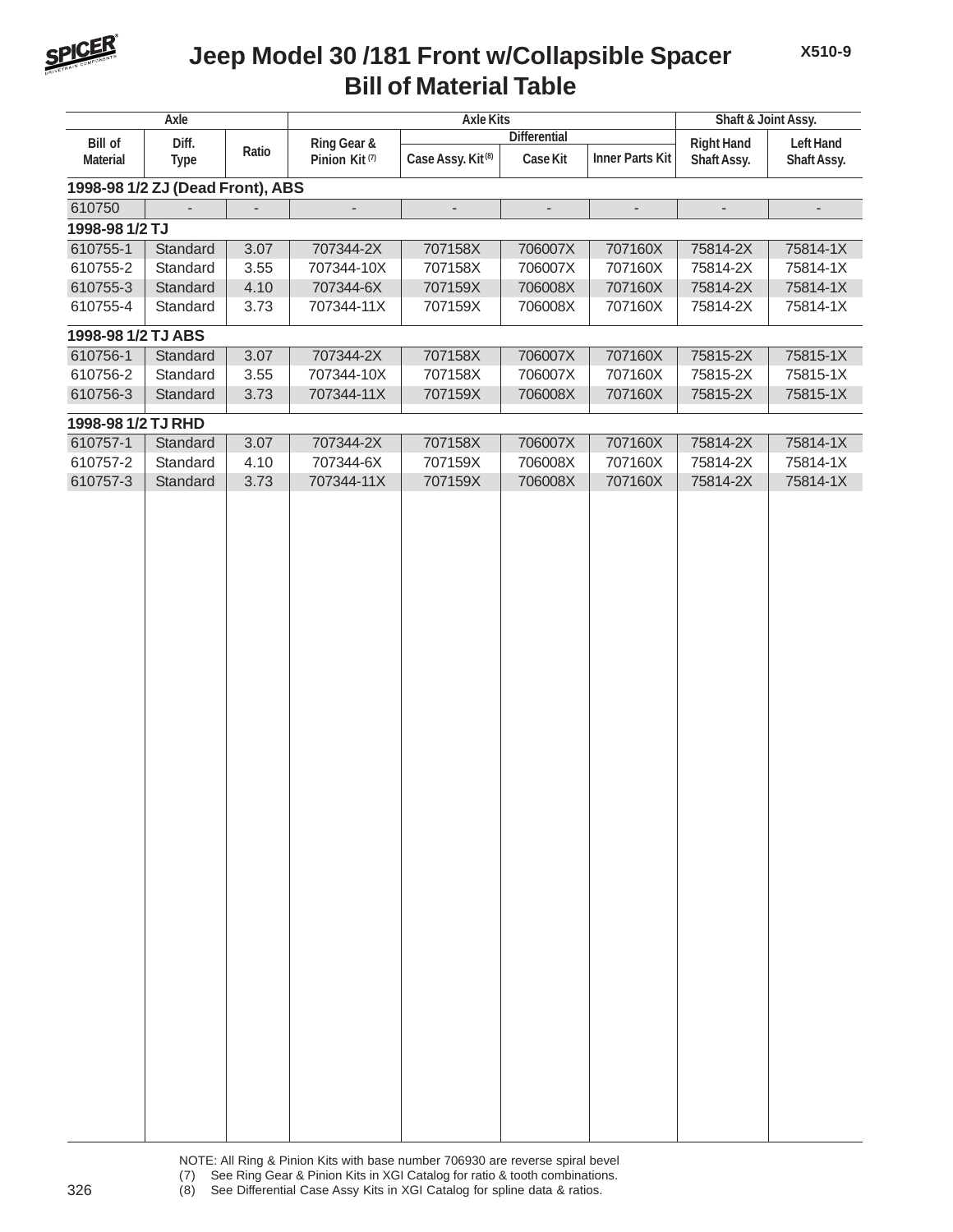

## **Bill of Material Table Jeep Model 30 /181 Front w/Collapsible Spacer**

| Axle               |                                  |       | <b>Axle Kits</b>          | Shaft & Joint Assy.           |                          |                          |                          |                  |
|--------------------|----------------------------------|-------|---------------------------|-------------------------------|--------------------------|--------------------------|--------------------------|------------------|
| <b>Bill of</b>     | Diff.                            |       | Ring Gear &               |                               | <b>Differential</b>      |                          | <b>Right Hand</b>        | <b>Left Hand</b> |
| <b>Material</b>    | <b>Type</b>                      | Ratio | Pinion Kit <sup>(7)</sup> | Case Assy. Kit <sup>(8)</sup> | Case Kit                 | <b>Inner Parts Kit</b>   | Shaft Assy.              | Shaft Assy.      |
|                    | 1998-98 1/2 ZJ (Dead Front), ABS |       |                           |                               |                          |                          |                          |                  |
| 610750             |                                  |       | $\overline{a}$            | $\overline{\phantom{m}}$      | $\overline{\phantom{a}}$ | $\overline{\phantom{0}}$ | $\overline{\phantom{a}}$ |                  |
| 1998-98 1/2 TJ     |                                  |       |                           |                               |                          |                          |                          |                  |
| 610755-1           | Standard                         | 3.07  | 707344-2X                 | 707158X                       | 706007X                  | 707160X                  | 75814-2X                 | 75814-1X         |
| 610755-2           | Standard                         | 3.55  | 707344-10X                | 707158X                       | 706007X                  | 707160X                  | 75814-2X                 | 75814-1X         |
| 610755-3           | Standard                         | 4.10  | 707344-6X                 | 707159X                       | 706008X                  | 707160X                  | 75814-2X                 | 75814-1X         |
| 610755-4           | Standard                         | 3.73  | 707344-11X                | 707159X                       | 706008X                  | 707160X                  | 75814-2X                 | 75814-1X         |
| 1998-98 1/2 TJ ABS |                                  |       |                           |                               |                          |                          |                          |                  |
| 610756-1           | Standard                         | 3.07  | 707344-2X                 | 707158X                       | 706007X                  | 707160X                  | 75815-2X                 | 75815-1X         |
| 610756-2           | Standard                         | 3.55  | 707344-10X                | 707158X                       | 706007X                  | 707160X                  | 75815-2X                 | 75815-1X         |
| 610756-3           | Standard                         | 3.73  | 707344-11X                | 707159X                       | 706008X                  | 707160X                  | 75815-2X                 | 75815-1X         |
| 1998-98 1/2 TJ RHD |                                  |       |                           |                               |                          |                          |                          |                  |
| 610757-1           | Standard                         | 3.07  | 707344-2X                 | 707158X                       | 706007X                  | 707160X                  | 75814-2X                 | 75814-1X         |
| 610757-2           | Standard                         | 4.10  | 707344-6X                 | 707159X                       | 706008X                  | 707160X                  | 75814-2X                 | 75814-1X         |
| 610757-3           | Standard                         | 3.73  | 707344-11X                | 707159X                       | 706008X                  | 707160X                  | 75814-2X                 | 75814-1X         |
|                    |                                  |       |                           |                               |                          |                          |                          |                  |
|                    |                                  |       |                           |                               |                          |                          |                          |                  |
|                    |                                  |       |                           |                               |                          |                          |                          |                  |
|                    |                                  |       |                           |                               |                          |                          |                          |                  |
|                    |                                  |       |                           |                               |                          |                          |                          |                  |
|                    |                                  |       |                           |                               |                          |                          |                          |                  |
|                    |                                  |       |                           |                               |                          |                          |                          |                  |
|                    |                                  |       |                           |                               |                          |                          |                          |                  |
|                    |                                  |       |                           |                               |                          |                          |                          |                  |
|                    |                                  |       |                           |                               |                          |                          |                          |                  |
|                    |                                  |       |                           |                               |                          |                          |                          |                  |
|                    |                                  |       |                           |                               |                          |                          |                          |                  |
|                    |                                  |       |                           |                               |                          |                          |                          |                  |
|                    |                                  |       |                           |                               |                          |                          |                          |                  |
|                    |                                  |       |                           |                               |                          |                          |                          |                  |
|                    |                                  |       |                           |                               |                          |                          |                          |                  |
|                    |                                  |       |                           |                               |                          |                          |                          |                  |
|                    |                                  |       |                           |                               |                          |                          |                          |                  |
|                    |                                  |       |                           |                               |                          |                          |                          |                  |
|                    |                                  |       |                           |                               |                          |                          |                          |                  |
|                    |                                  |       |                           |                               |                          |                          |                          |                  |
|                    |                                  |       |                           |                               |                          |                          |                          |                  |
|                    |                                  |       |                           |                               |                          |                          |                          |                  |
|                    |                                  |       |                           |                               |                          |                          |                          |                  |
|                    |                                  |       |                           |                               |                          |                          |                          |                  |
|                    |                                  |       |                           |                               |                          |                          |                          |                  |
|                    |                                  |       |                           |                               |                          |                          |                          |                  |
|                    |                                  |       |                           |                               |                          |                          |                          |                  |
|                    |                                  |       |                           |                               |                          |                          |                          |                  |
|                    |                                  |       |                           |                               |                          |                          |                          |                  |
|                    |                                  |       |                           |                               |                          |                          |                          |                  |

NOTE: All Ring & Pinion Kits with base number 706930 are reverse spiral bevel (7) See Ring Gear & Pinion Kits in XGI Catalog for ratio & tooth combinations. 326 (8) See Differential Case Assy Kits in XGI Catalog for spline data & ratios.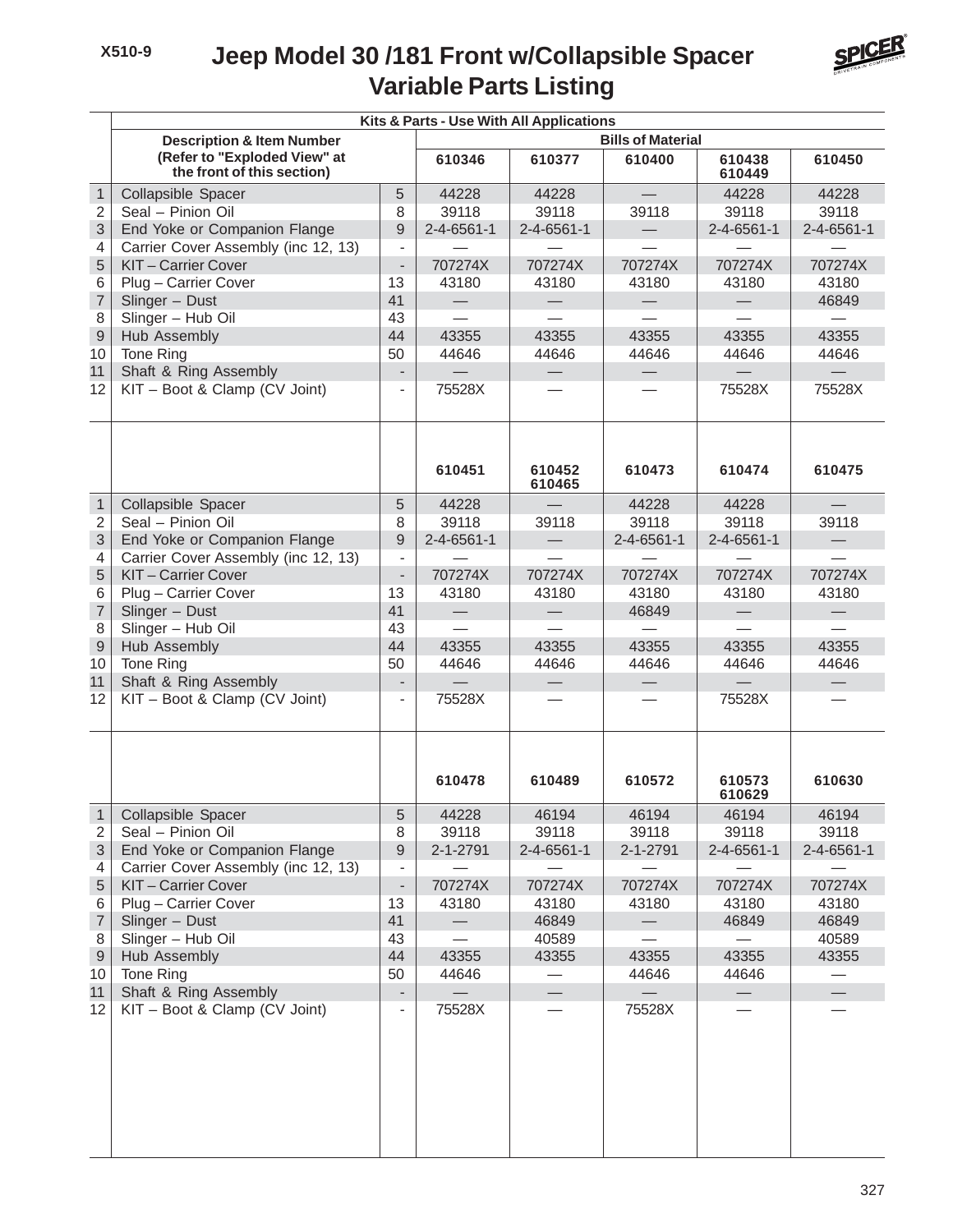#### **Variable Parts Listing Jeep Model 30 /181 Front w/Collapsible Spacer**



|                          | Kits & Parts - Use With All Applications                   |                                            |                          |                    |                   |                          |                          |  |  |  |
|--------------------------|------------------------------------------------------------|--------------------------------------------|--------------------------|--------------------|-------------------|--------------------------|--------------------------|--|--|--|
|                          | <b>Description &amp; Item Number</b>                       |                                            | <b>Bills of Material</b> |                    |                   |                          |                          |  |  |  |
|                          | (Refer to "Exploded View" at<br>the front of this section) |                                            | 610346                   | 610377             | 610400            | 610438<br>610449         | 610450                   |  |  |  |
| $\mathbf{1}$             | Collapsible Spacer                                         | 5                                          | 44228                    | 44228              |                   | 44228                    | 44228                    |  |  |  |
| 2                        | Seal - Pinion Oil                                          | 8                                          | 39118                    | 39118              | 39118             | 39118                    | 39118                    |  |  |  |
| 3                        | End Yoke or Companion Flange                               | 9                                          | $2 - 4 - 6561 - 1$       | $2 - 4 - 6561 - 1$ |                   | 2-4-6561-1               | $2 - 4 - 6561 - 1$       |  |  |  |
| 4                        | Carrier Cover Assembly (inc 12, 13)                        | $\overline{\phantom{0}}$                   |                          |                    |                   |                          |                          |  |  |  |
| 5                        | KIT-Carrier Cover                                          | $\blacksquare$                             | 707274X                  | 707274X            | 707274X           | 707274X                  | 707274X                  |  |  |  |
| 6                        | Plug - Carrier Cover                                       | 13                                         | 43180                    | 43180              | 43180             | 43180                    | 43180                    |  |  |  |
| $\overline{7}$           | Slinger - Dust                                             | 41                                         | $\qquad \qquad -$        | $\qquad \qquad -$  | $\qquad \qquad -$ | $\overline{\phantom{0}}$ | 46849                    |  |  |  |
| 8                        | Slinger - Hub Oil                                          | 43                                         |                          |                    |                   |                          |                          |  |  |  |
| $\hbox{9}$               | Hub Assembly                                               | 44                                         | 43355                    | 43355              | 43355             | 43355                    | 43355                    |  |  |  |
| 10                       | Tone Ring                                                  | 50                                         | 44646                    | 44646              | 44646             | 44646                    | 44646                    |  |  |  |
| 11                       | Shaft & Ring Assembly                                      | $\overline{a}$                             | $\equiv$                 |                    |                   |                          | $\equiv$                 |  |  |  |
| 12                       | KIT - Boot & Clamp (CV Joint)                              | $\overline{\phantom{a}}$                   | 75528X                   |                    |                   | 75528X                   | 75528X                   |  |  |  |
|                          |                                                            |                                            | 610451                   |                    |                   |                          | 610475                   |  |  |  |
|                          |                                                            |                                            |                          | 610452<br>610465   | 610473            | 610474                   |                          |  |  |  |
| $\mathbf{1}$             | Collapsible Spacer                                         | 5                                          | 44228                    |                    | 44228             | 44228                    |                          |  |  |  |
| $\overline{2}$           | Seal - Pinion Oil                                          | 8                                          | 39118                    | 39118              | 39118             | 39118                    | 39118                    |  |  |  |
| 3                        | End Yoke or Companion Flange                               | 9                                          | $2 - 4 - 6561 - 1$       | $\qquad \qquad -$  | 2-4-6561-1        | $2 - 4 - 6561 - 1$       |                          |  |  |  |
| 4                        | Carrier Cover Assembly (inc 12, 13)                        | $\overline{\phantom{a}}$                   |                          |                    |                   |                          |                          |  |  |  |
| 5                        | KIT-Carrier Cover                                          | $\overline{\phantom{a}}$                   | 707274X                  | 707274X            | 707274X           | 707274X                  | 707274X                  |  |  |  |
| 6                        | Plug - Carrier Cover                                       | 13                                         | 43180                    | 43180              | 43180             | 43180                    | 43180                    |  |  |  |
| $\overline{7}$           | Slinger - Dust                                             | 41                                         | $\overline{\phantom{0}}$ |                    | 46849             | $\overline{\phantom{m}}$ |                          |  |  |  |
| 8                        | Slinger - Hub Oil                                          | 43                                         |                          |                    |                   |                          |                          |  |  |  |
| $\mathsf 9$              | <b>Hub Assembly</b>                                        | 44                                         | 43355                    | 43355              | 43355             | 43355                    | 43355                    |  |  |  |
| 10                       | Tone Ring                                                  | 50                                         | 44646                    | 44646              | 44646             | 44646                    | 44646                    |  |  |  |
| 11                       | Shaft & Ring Assembly                                      |                                            | $\qquad \qquad -$        |                    |                   | $\equiv$                 | $\overline{\phantom{0}}$ |  |  |  |
| 12                       | KIT - Boot & Clamp (CV Joint)                              | $\overline{\phantom{a}}$                   | 75528X                   |                    |                   | 75528X                   |                          |  |  |  |
|                          |                                                            |                                            |                          |                    |                   |                          |                          |  |  |  |
|                          |                                                            |                                            | 610478                   | 610489             | 610572            | 610573<br>610629         | 610630                   |  |  |  |
| $\mathbf{1}$             | Collapsible Spacer                                         | 5                                          | 44228                    | 46194              | 46194             | 46194                    | 46194                    |  |  |  |
| 2                        | Seal - Pinion Oil                                          | 8                                          | 39118                    | 39118              | 39118             | 39118                    | 39118                    |  |  |  |
| $\sqrt{3}$               | End Yoke or Companion Flange                               | 9                                          | 2-1-2791                 | 2-4-6561-1         | 2-1-2791          | 2-4-6561-1               | $2 - 4 - 6561 - 1$       |  |  |  |
| 4<br>$\sqrt{5}$          | Carrier Cover Assembly (inc 12, 13)<br>KIT-Carrier Cover   | $\overline{\phantom{a}}$<br>$\blacksquare$ | 707274X                  | 707274X            | 707274X           | 707274X                  | 707274X                  |  |  |  |
| 6                        | Plug - Carrier Cover                                       | 13                                         | 43180                    | 43180              | 43180             | 43180                    | 43180                    |  |  |  |
| $\overline{\mathcal{I}}$ | Slinger - Dust                                             | 41                                         |                          | 46849              |                   | 46849                    | 46849                    |  |  |  |
| 8                        | Slinger - Hub Oil                                          | 43                                         |                          | 40589              |                   |                          | 40589                    |  |  |  |
| $\boldsymbol{9}$         | Hub Assembly                                               | 44                                         | 43355                    | 43355              | 43355             | 43355                    | 43355                    |  |  |  |
| 10                       | Tone Ring                                                  | 50                                         | 44646                    |                    | 44646             | 44646                    |                          |  |  |  |
| 11                       | Shaft & Ring Assembly                                      | $\overline{\phantom{0}}$                   |                          |                    |                   | $\overline{\phantom{0}}$ |                          |  |  |  |
| 12                       | KIT - Boot & Clamp (CV Joint)                              | $\qquad \qquad \blacksquare$               | 75528X                   |                    | 75528X            |                          |                          |  |  |  |
|                          |                                                            |                                            |                          |                    |                   |                          |                          |  |  |  |